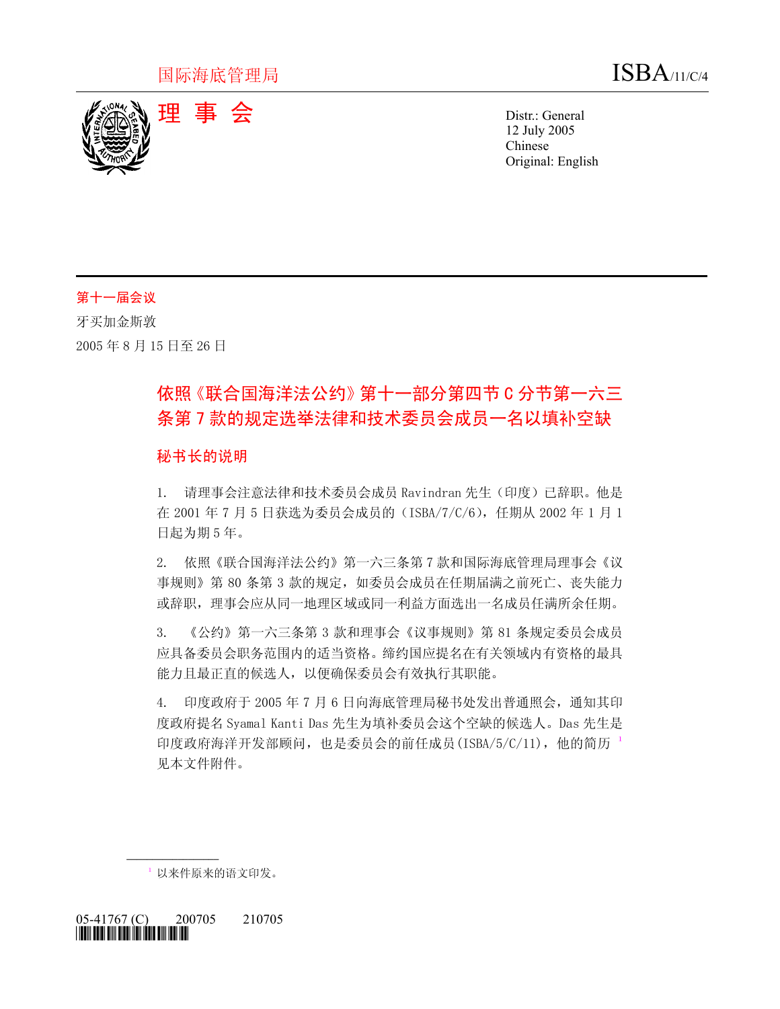

12 July 2005 Chinese Original: English

# 第十一届会议

牙买加金斯敦 2005 年 8 月 15 日至 26 日

# 依照《联合国海洋法公约》第十一部分第四节 C 分节第一六三 条第 7 款的规定选举法律和技术委员会成员一名以填补空缺

## 秘书长的说明

1. 请理事会注意法律和技术委员会成员 Ravindran 先生(印度)已辞职。他是 在 2001 年 7 月 5 日获选为委员会成员的(ISBA/7/C/6),任期从 2002 年 1 月 1 日起为期 5 年。

2. 依照《联合国海洋法公约》第一六三条第 7 款和国际海底管理局理事会《议 事规则》第 80 条第 3 款的规定, 如委员会成员在任期届满之前死亡、丧失能力 或辞职,理事会应从同一地理区域或同一利益方面选出一名成员任满所余任期。

3. 《公约》第一六三条第 3 款和理事会《议事规则》第 81 条规定委员会成员 应具备委员会职务范围内的适当资格。缔约国应提名在有关领域内有资格的最具 能力且最正直的候选人,以便确保委员会有效执行其职能。

4. 印度政府于 2005 年 7 月 6 日向海底管理局秘书处发出普通照会,通知其印 度政府提名 Syamal Kanti Das 先生为填补委员会这个空缺的候选人。Das 先生是 印度政府海洋开发部顾问,也是委员会的前任成员(ISBA/5/C/[1](#page-0-0)1),他的简历 $^{-1}$ 见本文件附件。

<span id="page-0-0"></span>1 以来件原来的语文印发。

05-41767 (C) 200705 210705 *\*0541767\** 

**\_\_\_\_\_\_\_\_\_\_\_\_\_\_\_\_\_\_**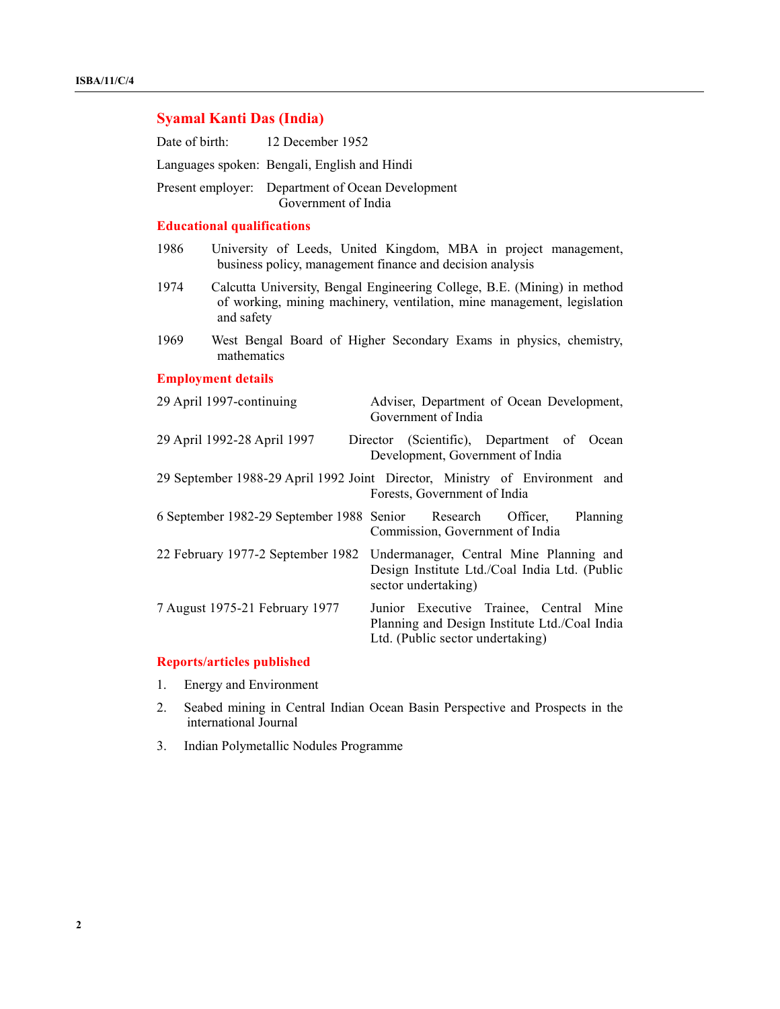| <b>Syamal Kanti Das (India)</b>                                                                             |                                                                                                                                                                   |                                                                                                                             |  |
|-------------------------------------------------------------------------------------------------------------|-------------------------------------------------------------------------------------------------------------------------------------------------------------------|-----------------------------------------------------------------------------------------------------------------------------|--|
| Date of birth:                                                                                              | 12 December 1952                                                                                                                                                  |                                                                                                                             |  |
| Languages spoken: Bengali, English and Hindi                                                                |                                                                                                                                                                   |                                                                                                                             |  |
| Present employer: Department of Ocean Development<br>Government of India                                    |                                                                                                                                                                   |                                                                                                                             |  |
| <b>Educational qualifications</b>                                                                           |                                                                                                                                                                   |                                                                                                                             |  |
| 1986                                                                                                        | University of Leeds, United Kingdom, MBA in project management,<br>business policy, management finance and decision analysis                                      |                                                                                                                             |  |
| 1974                                                                                                        | Calcutta University, Bengal Engineering College, B.E. (Mining) in method<br>of working, mining machinery, ventilation, mine management, legislation<br>and safety |                                                                                                                             |  |
| 1969                                                                                                        | West Bengal Board of Higher Secondary Exams in physics, chemistry,<br>mathematics                                                                                 |                                                                                                                             |  |
| <b>Employment details</b>                                                                                   |                                                                                                                                                                   |                                                                                                                             |  |
|                                                                                                             | 29 April 1997-continuing                                                                                                                                          | Adviser, Department of Ocean Development,<br>Government of India                                                            |  |
|                                                                                                             | Director (Scientific), Department of Ocean<br>29 April 1992-28 April 1997<br>Development, Government of India                                                     |                                                                                                                             |  |
| 29 September 1988-29 April 1992 Joint Director, Ministry of Environment and<br>Forests, Government of India |                                                                                                                                                                   |                                                                                                                             |  |
|                                                                                                             | Planning<br>6 September 1982-29 September 1988 Senior<br>Research<br>Officer,<br>Commission, Government of India                                                  |                                                                                                                             |  |
|                                                                                                             | 22 February 1977-2 September 1982                                                                                                                                 | Undermanager, Central Mine Planning and<br>Design Institute Ltd./Coal India Ltd. (Public<br>sector undertaking)             |  |
|                                                                                                             | 7 August 1975-21 February 1977                                                                                                                                    | Junior Executive Trainee, Central Mine<br>Planning and Design Institute Ltd./Coal India<br>Ltd. (Public sector undertaking) |  |

# **Reports/articles published**

- 1. Energy and Environment
- 2. Seabed mining in Central Indian Ocean Basin Perspective and Prospects in the international Journal
- 3. Indian Polymetallic Nodules Programme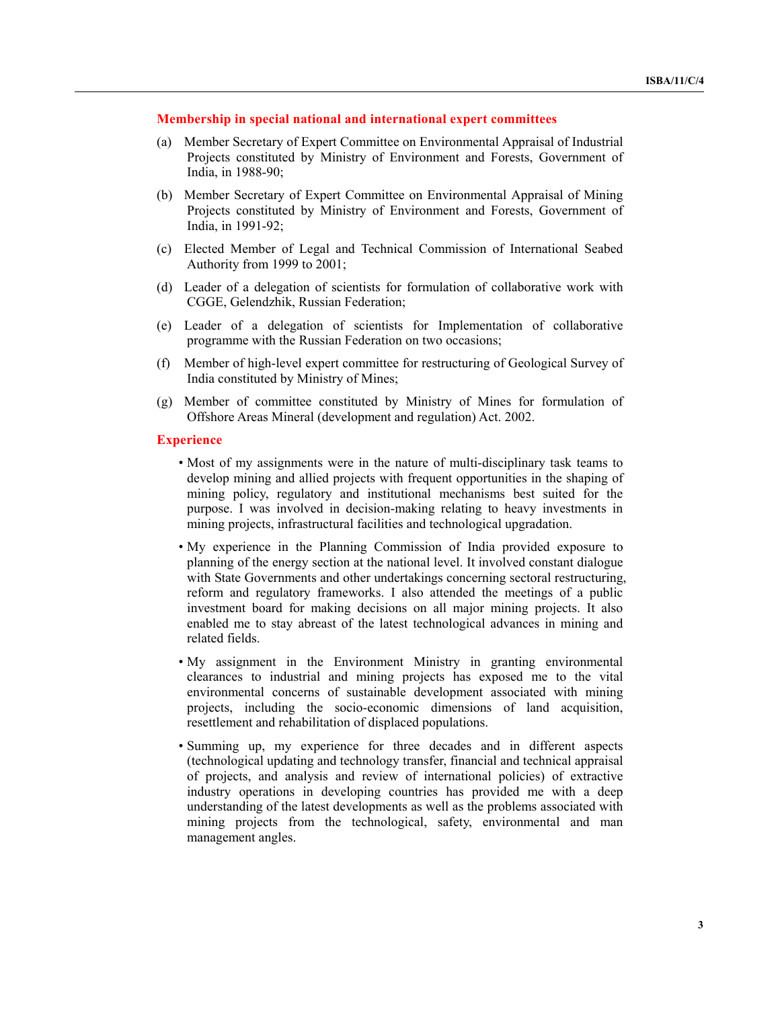#### **Membership in special national and international expert committees**

- (a) Member Secretary of Expert Committee on Environmental Appraisal of Industrial Projects constituted by Ministry of Environment and Forests, Government of India, in 1988-90;
- (b) Member Secretary of Expert Committee on Environmental Appraisal of Mining Projects constituted by Ministry of Environment and Forests, Government of India, in 1991-92;
- (c) Elected Member of Legal and Technical Commission of International Seabed Authority from 1999 to 2001;
- (d) Leader of a delegation of scientists for formulation of collaborative work with CGGE, Gelendzhik, Russian Federation;
- (e) Leader of a delegation of scientists for Implementation of collaborative programme with the Russian Federation on two occasions;
- (f) Member of high-level expert committee for restructuring of Geological Survey of India constituted by Ministry of Mines;
- (g) Member of committee constituted by Ministry of Mines for formulation of Offshore Areas Mineral (development and regulation) Act. 2002.

#### **Experience**

- Most of my assignments were in the nature of multi-disciplinary task teams to develop mining and allied projects with frequent opportunities in the shaping of mining policy, regulatory and institutional mechanisms best suited for the purpose. I was involved in decision-making relating to heavy investments in mining projects, infrastructural facilities and technological upgradation.
- My experience in the Planning Commission of India provided exposure to planning of the energy section at the national level. It involved constant dialogue with State Governments and other undertakings concerning sectoral restructuring, reform and regulatory frameworks. I also attended the meetings of a public investment board for making decisions on all major mining projects. It also enabled me to stay abreast of the latest technological advances in mining and related fields.
- My assignment in the Environment Ministry in granting environmental clearances to industrial and mining projects has exposed me to the vital environmental concerns of sustainable development associated with mining projects, including the socio-economic dimensions of land acquisition, resettlement and rehabilitation of displaced populations.
- Summing up, my experience for three decades and in different aspects (technological updating and technology transfer, financial and technical appraisal of projects, and analysis and review of international policies) of extractive industry operations in developing countries has provided me with a deep understanding of the latest developments as well as the problems associated with mining projects from the technological, safety, environmental and man management angles.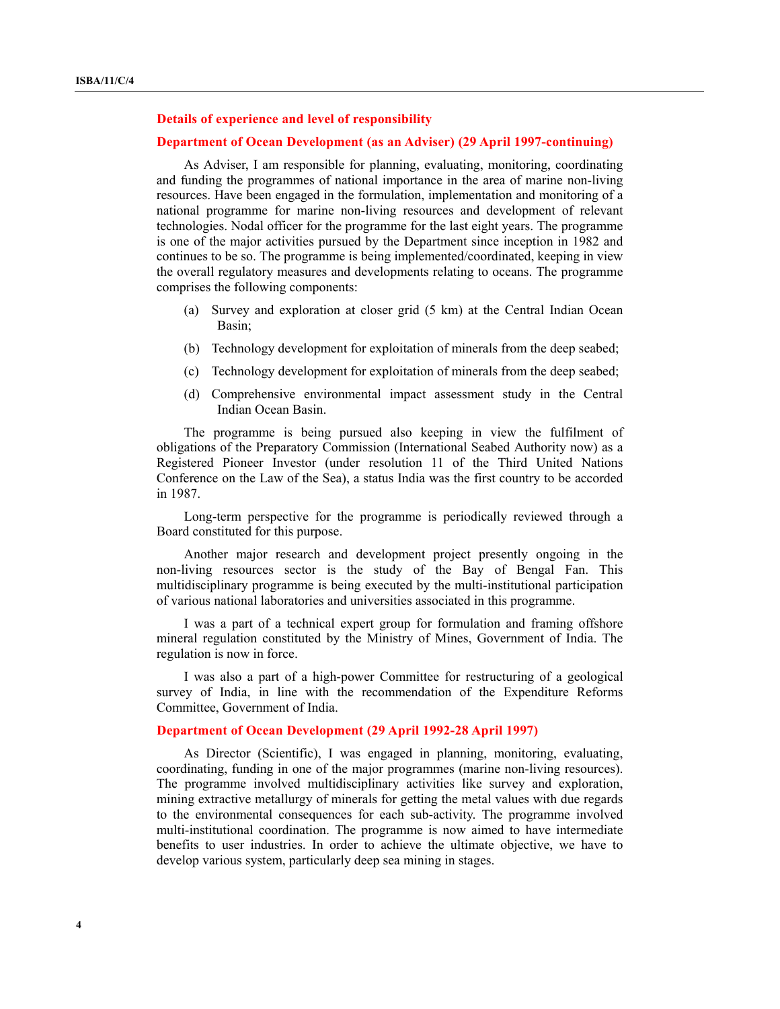#### **Details of experience and level of responsibility**

#### **Department of Ocean Development (as an Adviser) (29 April 1997-continuing)**

 As Adviser, I am responsible for planning, evaluating, monitoring, coordinating and funding the programmes of national importance in the area of marine non-living resources. Have been engaged in the formulation, implementation and monitoring of a national programme for marine non-living resources and development of relevant technologies. Nodal officer for the programme for the last eight years. The programme is one of the major activities pursued by the Department since inception in 1982 and continues to be so. The programme is being implemented/coordinated, keeping in view the overall regulatory measures and developments relating to oceans. The programme comprises the following components:

- (a) Survey and exploration at closer grid (5 km) at the Central Indian Ocean Basin;
- (b) Technology development for exploitation of minerals from the deep seabed;
- (c) Technology development for exploitation of minerals from the deep seabed;
- (d) Comprehensive environmental impact assessment study in the Central Indian Ocean Basin.

 The programme is being pursued also keeping in view the fulfilment of obligations of the Preparatory Commission (International Seabed Authority now) as a Registered Pioneer Investor (under resolution 11 of the Third United Nations Conference on the Law of the Sea), a status India was the first country to be accorded in 1987.

 Long-term perspective for the programme is periodically reviewed through a Board constituted for this purpose.

 Another major research and development project presently ongoing in the non-living resources sector is the study of the Bay of Bengal Fan. This multidisciplinary programme is being executed by the multi-institutional participation of various national laboratories and universities associated in this programme.

 I was a part of a technical expert group for formulation and framing offshore mineral regulation constituted by the Ministry of Mines, Government of India. The regulation is now in force.

 I was also a part of a high-power Committee for restructuring of a geological survey of India, in line with the recommendation of the Expenditure Reforms Committee, Government of India.

#### **Department of Ocean Development (29 April 1992-28 April 1997)**

 As Director (Scientific), I was engaged in planning, monitoring, evaluating, coordinating, funding in one of the major programmes (marine non-living resources). The programme involved multidisciplinary activities like survey and exploration, mining extractive metallurgy of minerals for getting the metal values with due regards to the environmental consequences for each sub-activity. The programme involved multi-institutional coordination. The programme is now aimed to have intermediate benefits to user industries. In order to achieve the ultimate objective, we have to develop various system, particularly deep sea mining in stages.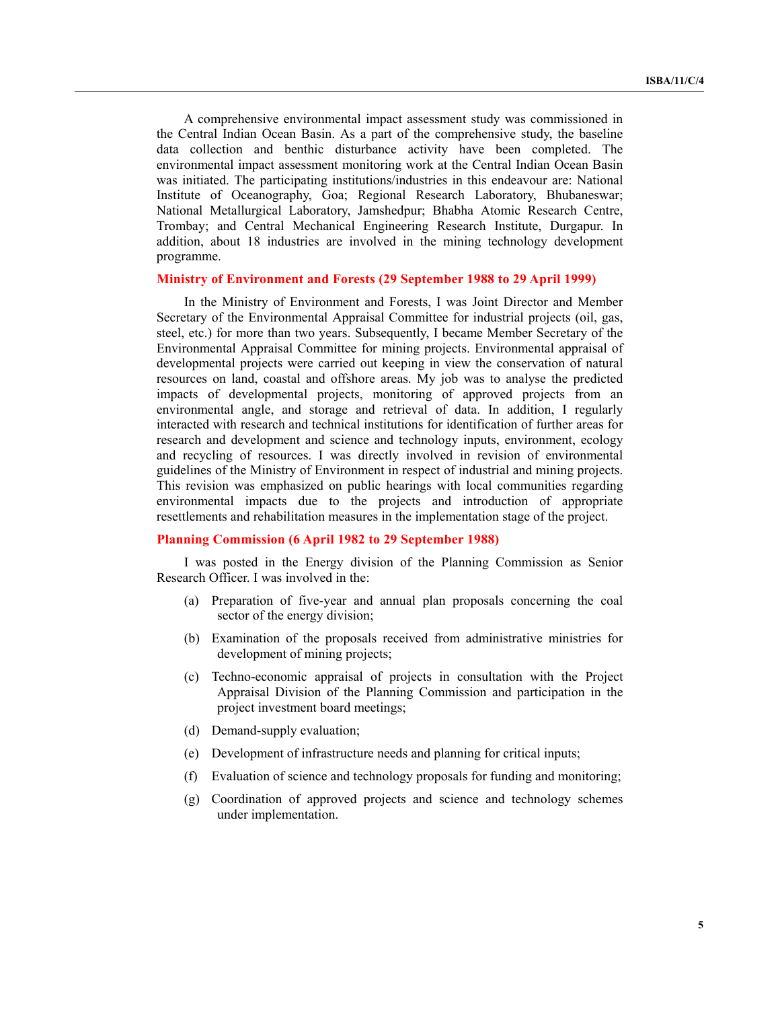A comprehensive environmental impact assessment study was commissioned in the Central Indian Ocean Basin. As a part of the comprehensive study, the baseline data collection and benthic disturbance activity have been completed. The environmental impact assessment monitoring work at the Central Indian Ocean Basin was initiated. The participating institutions/industries in this endeavour are: National Institute of Oceanography, Goa; Regional Research Laboratory, Bhubaneswar; National Metallurgical Laboratory, Jamshedpur; Bhabha Atomic Research Centre, Trombay; and Central Mechanical Engineering Research Institute, Durgapur. In addition, about 18 industries are involved in the mining technology development programme.

#### **Ministry of Environment and Forests (29 September 1988 to 29 April 1999)**

 In the Ministry of Environment and Forests, I was Joint Director and Member Secretary of the Environmental Appraisal Committee for industrial projects (oil, gas, steel, etc.) for more than two years. Subsequently, I became Member Secretary of the Environmental Appraisal Committee for mining projects. Environmental appraisal of developmental projects were carried out keeping in view the conservation of natural resources on land, coastal and offshore areas. My job was to analyse the predicted impacts of developmental projects, monitoring of approved projects from an environmental angle, and storage and retrieval of data. In addition, I regularly interacted with research and technical institutions for identification of further areas for research and development and science and technology inputs, environment, ecology and recycling of resources. I was directly involved in revision of environmental guidelines of the Ministry of Environment in respect of industrial and mining projects. This revision was emphasized on public hearings with local communities regarding environmental impacts due to the projects and introduction of appropriate resettlements and rehabilitation measures in the implementation stage of the project.

#### **Planning Commission (6 April 1982 to 29 September 1988)**

 I was posted in the Energy division of the Planning Commission as Senior Research Officer. I was involved in the:

- (a) Preparation of five-year and annual plan proposals concerning the coal sector of the energy division;
- (b) Examination of the proposals received from administrative ministries for development of mining projects;
- (c) Techno-economic appraisal of projects in consultation with the Project Appraisal Division of the Planning Commission and participation in the project investment board meetings;
- (d) Demand-supply evaluation;
- (e) Development of infrastructure needs and planning for critical inputs;
- (f) Evaluation of science and technology proposals for funding and monitoring;
- (g) Coordination of approved projects and science and technology schemes under implementation.